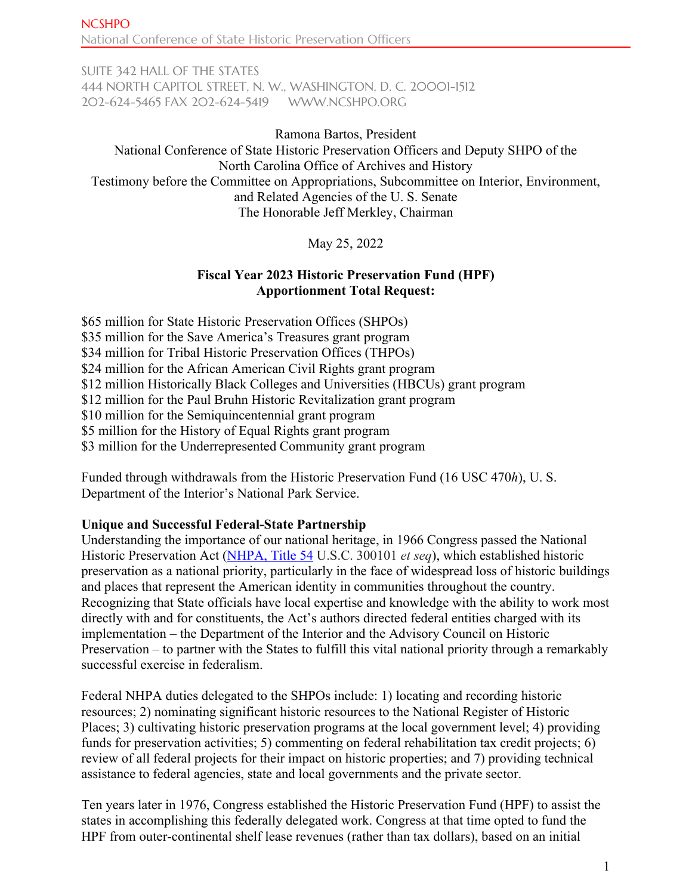SUITE 342 HALL OF THE STATES 444 NORTH CAPITOL STREET, N. W., WASHINGTON, D. C. 20001-1512 202-624-5465 FAX 202-624-5419 [WWW.NCSHPO.ORG](http://www.ncshpo.org/)

Ramona Bartos, President National Conference of State Historic Preservation Officers and Deputy SHPO of the North Carolina Office of Archives and History Testimony before the Committee on Appropriations, Subcommittee on Interior, Environment, and Related Agencies of the U. S. Senate The Honorable Jeff Merkley, Chairman

May 25, 2022

# **Fiscal Year 2023 Historic Preservation Fund (HPF) Apportionment Total Request:**

\$65 million for State Historic Preservation Offices (SHPOs) \$35 million for the Save America's Treasures grant program \$34 million for Tribal Historic Preservation Offices (THPOs) \$24 million for the African American Civil Rights grant program \$12 million Historically Black Colleges and Universities (HBCUs) grant program \$12 million for the Paul Bruhn Historic Revitalization grant program \$10 million for the Semiquincentennial grant program \$5 million for the History of Equal Rights grant program \$3 million for the Underrepresented Community grant program

Funded through withdrawals from the Historic Preservation Fund (16 USC 470*h*), U. S. Department of the Interior's National Park Service.

# **Unique and Successful Federal-State Partnership**

Understanding the importance of our national heritage, in 1966 Congress passed the National Historic Preservation Act [\(NHPA, Title](https://ncshpo.org/resources/national-historic-preservation-act-of-1966/) 54 U.S.C. 300101 *et seq*), which established historic preservation as a national priority, particularly in the face of widespread loss of historic buildings and places that represent the American identity in communities throughout the country. Recognizing that State officials have local expertise and knowledge with the ability to work most directly with and for constituents, the Act's authors directed federal entities charged with its implementation – the Department of the Interior and the Advisory Council on Historic Preservation – to partner with the States to fulfill this vital national priority through a remarkably successful exercise in federalism.

Federal NHPA duties delegated to the SHPOs include: 1) locating and recording historic resources; 2) nominating significant historic resources to the National Register of Historic Places; 3) cultivating historic preservation programs at the local government level; 4) providing funds for preservation activities; 5) commenting on federal rehabilitation tax credit projects; 6) review of all federal projects for their impact on historic properties; and 7) providing technical assistance to federal agencies, state and local governments and the private sector.

Ten years later in 1976, Congress established the Historic Preservation Fund (HPF) to assist the states in accomplishing this federally delegated work. Congress at that time opted to fund the HPF from outer-continental shelf lease revenues (rather than tax dollars), based on an initial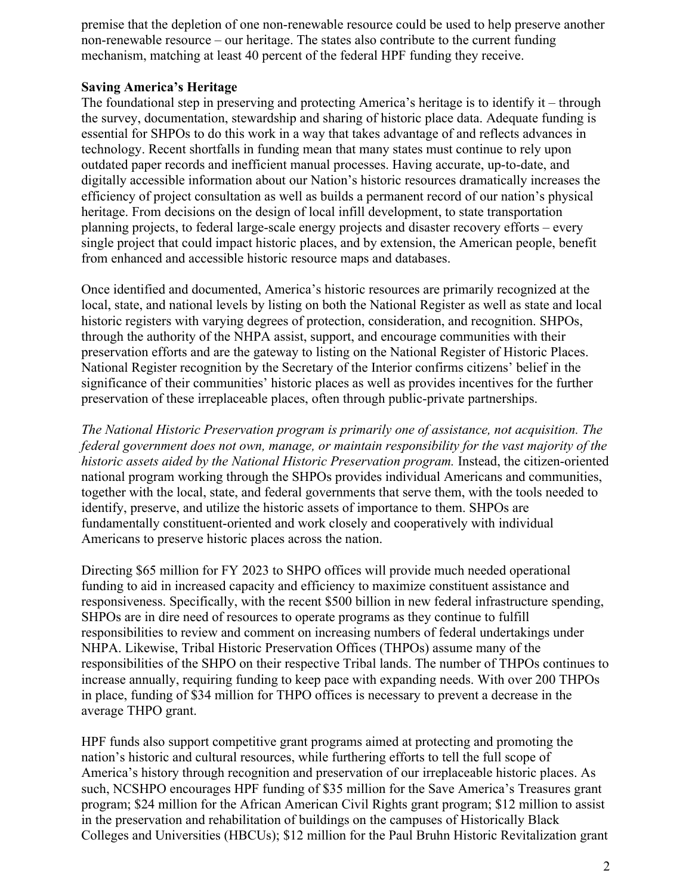premise that the depletion of one non-renewable resource could be used to help preserve another non-renewable resource – our heritage. The states also contribute to the current funding mechanism, matching at least 40 percent of the federal HPF funding they receive.

### **Saving America's Heritage**

The foundational step in preserving and protecting America's heritage is to identify it – through the survey, documentation, stewardship and sharing of historic place data. Adequate funding is essential for SHPOs to do this work in a way that takes advantage of and reflects advances in technology. Recent shortfalls in funding mean that many states must continue to rely upon outdated paper records and inefficient manual processes. Having accurate, up-to-date, and digitally accessible information about our Nation's historic resources dramatically increases the efficiency of project consultation as well as builds a permanent record of our nation's physical heritage. From decisions on the design of local infill development, to state transportation planning projects, to federal large-scale energy projects and disaster recovery efforts – every single project that could impact historic places, and by extension, the American people, benefit from enhanced and accessible historic resource maps and databases.

Once identified and documented, America's historic resources are primarily recognized at the local, state, and national levels by listing on both the National Register as well as state and local historic registers with varying degrees of protection, consideration, and recognition. SHPOs, through the authority of the NHPA assist, support, and encourage communities with their preservation efforts and are the gateway to listing on the National Register of Historic Places. National Register recognition by the Secretary of the Interior confirms citizens' belief in the significance of their communities' historic places as well as provides incentives for the further preservation of these irreplaceable places, often through public-private partnerships.

*The National Historic Preservation program is primarily one of assistance, not acquisition. The federal government does not own, manage, or maintain responsibility for the vast majority of the historic assets aided by the National Historic Preservation program.* Instead, the citizen-oriented national program working through the SHPOs provides individual Americans and communities, together with the local, state, and federal governments that serve them, with the tools needed to identify, preserve, and utilize the historic assets of importance to them. SHPOs are fundamentally constituent-oriented and work closely and cooperatively with individual Americans to preserve historic places across the nation.

Directing \$65 million for FY 2023 to SHPO offices will provide much needed operational funding to aid in increased capacity and efficiency to maximize constituent assistance and responsiveness. Specifically, with the recent \$500 billion in new federal infrastructure spending, SHPOs are in dire need of resources to operate programs as they continue to fulfill responsibilities to review and comment on increasing numbers of federal undertakings under NHPA. Likewise, Tribal Historic Preservation Offices (THPOs) assume many of the responsibilities of the SHPO on their respective Tribal lands. The number of THPOs continues to increase annually, requiring funding to keep pace with expanding needs. With over 200 THPOs in place, funding of \$34 million for THPO offices is necessary to prevent a decrease in the average THPO grant.

HPF funds also support competitive grant programs aimed at protecting and promoting the nation's historic and cultural resources, while furthering efforts to tell the full scope of America's history through recognition and preservation of our irreplaceable historic places. As such, NCSHPO encourages HPF funding of \$35 million for the Save America's Treasures grant program; \$24 million for the African American Civil Rights grant program; \$12 million to assist in the preservation and rehabilitation of buildings on the campuses of Historically Black Colleges and Universities (HBCUs); \$12 million for the Paul Bruhn Historic Revitalization grant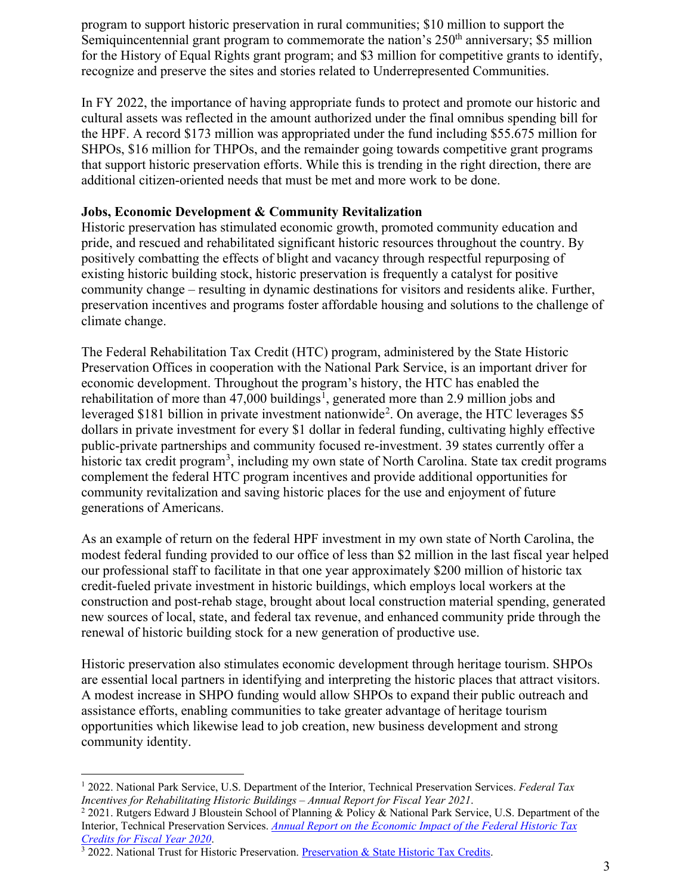program to support historic preservation in rural communities; \$10 million to support the Semiquincentennial grant program to commemorate the nation's  $250<sup>th</sup>$  anniversary; \$5 million for the History of Equal Rights grant program; and \$3 million for competitive grants to identify, recognize and preserve the sites and stories related to Underrepresented Communities.

In FY 2022, the importance of having appropriate funds to protect and promote our historic and cultural assets was reflected in the amount authorized under the final omnibus spending bill for the HPF. A record \$173 million was appropriated under the fund including \$55.675 million for SHPOs, \$16 million for THPOs, and the remainder going towards competitive grant programs that support historic preservation efforts. While this is trending in the right direction, there are additional citizen-oriented needs that must be met and more work to be done.

## **Jobs, Economic Development & Community Revitalization**

Historic preservation has stimulated economic growth, promoted community education and pride, and rescued and rehabilitated significant historic resources throughout the country. By positively combatting the effects of blight and vacancy through respectful repurposing of existing historic building stock, historic preservation is frequently a catalyst for positive community change – resulting in dynamic destinations for visitors and residents alike. Further, preservation incentives and programs foster affordable housing and solutions to the challenge of climate change.

The Federal Rehabilitation Tax Credit (HTC) program, administered by the State Historic Preservation Offices in cooperation with the National Park Service, is an important driver for economic development. Throughout the program's history, the HTC has enabled the rehabilitation of more than  $47,000$  buildings<sup>[1](#page-2-0)</sup>, generated more than 2.9 million jobs and leveraged \$181 billion in private investment nationwide<sup>[2](#page-2-1)</sup>. On average, the HTC leverages \$5 dollars in private investment for every \$1 dollar in federal funding, cultivating highly effective public-private partnerships and community focused re-investment. 39 states currently offer a historic tax credit program<sup>[3](#page-2-2)</sup>, including my own state of North Carolina. State tax credit programs complement the federal HTC program incentives and provide additional opportunities for community revitalization and saving historic places for the use and enjoyment of future generations of Americans.

As an example of return on the federal HPF investment in my own state of North Carolina, the modest federal funding provided to our office of less than \$2 million in the last fiscal year helped our professional staff to facilitate in that one year approximately \$200 million of historic tax credit-fueled private investment in historic buildings, which employs local workers at the construction and post-rehab stage, brought about local construction material spending, generated new sources of local, state, and federal tax revenue, and enhanced community pride through the renewal of historic building stock for a new generation of productive use.

Historic preservation also stimulates economic development through heritage tourism. SHPOs are essential local partners in identifying and interpreting the historic places that attract visitors. A modest increase in SHPO funding would allow SHPOs to expand their public outreach and assistance efforts, enabling communities to take greater advantage of heritage tourism opportunities which likewise lead to job creation, new business development and strong community identity.

<span id="page-2-0"></span><sup>1</sup> 2022. National Park Service, U.S. Department of the Interior, Technical Preservation Services. *Federal Tax Incentives for Rehabilitating Historic Buildings – Annual Report for Fiscal Year 2021*.<br><sup>2</sup> 2021. Rutgers Edward J Bloustein School of Planning & Policy & National Park Service, U.S. Department of the

<span id="page-2-1"></span>Interior, Technical Preservation Services. *[Annual Report on the Economic Impact of the Federal Historic Tax](https://www.nps.gov/tps/tax-incentives/taxdocs/economic-impact-2020.pdf)* 

<span id="page-2-2"></span><sup>&</sup>lt;sup>3</sup> 2022[.](https://www.nps.gov/tps/tax-incentives/taxdocs/economic-impact-2020.pdf) National Trust for Historic Preservation. *Preservation & State Historic Tax Credits*.